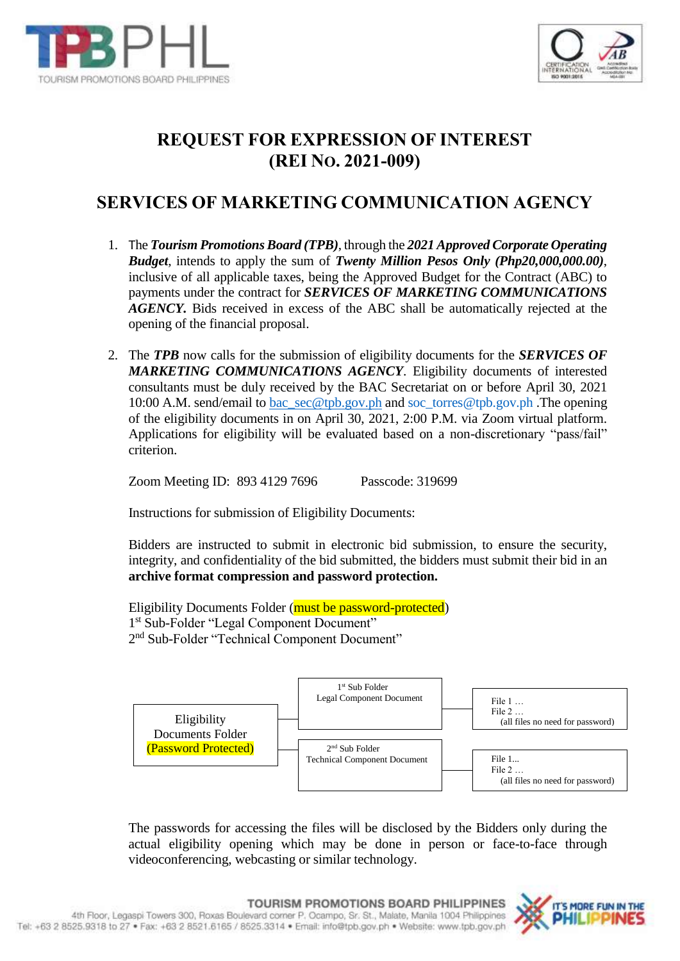



## **REQUEST FOR EXPRESSION OF INTEREST (REI NO. 2021-009)**

## **SERVICES OF MARKETING COMMUNICATION AGENCY**

- 1. The *Tourism Promotions Board (TPB)*, through the *2021 Approved Corporate Operating Budget*, intends to apply the sum of *Twenty Million Pesos Only (Php20,000,000.00)*, inclusive of all applicable taxes, being the Approved Budget for the Contract (ABC) to payments under the contract for *SERVICES OF MARKETING COMMUNICATIONS AGENCY.* Bids received in excess of the ABC shall be automatically rejected at the opening of the financial proposal.
- 2. The *TPB* now calls for the submission of eligibility documents for the *SERVICES OF MARKETING COMMUNICATIONS AGENCY*. Eligibility documents of interested consultants must be duly received by the BAC Secretariat on or before April 30, 2021 10:00 A.M. send/email to [bac\\_sec@tpb.gov.ph](mailto:bac_sec@tpb.gov.ph) and [soc\\_torres@tpb.gov.ph](mailto:soc_torres@tpb.gov.ph) .The opening of the eligibility documents in on April 30, 2021, 2:00 P.M. via Zoom virtual platform. Applications for eligibility will be evaluated based on a non-discretionary "pass/fail" criterion.

Zoom Meeting ID: 893 4129 7696 Passcode: 319699

Instructions for submission of Eligibility Documents:

Bidders are instructed to submit in electronic bid submission, to ensure the security, integrity, and confidentiality of the bid submitted, the bidders must submit their bid in an **archive format compression and password protection.**

Eligibility Documents Folder (must be password-protected) 1 st Sub-Folder "Legal Component Document" 2<sup>nd</sup> Sub-Folder "Technical Component Document"



The passwords for accessing the files will be disclosed by the Bidders only during the actual eligibility opening which may be done in person or face-to-face through videoconferencing, webcasting or similar technology.

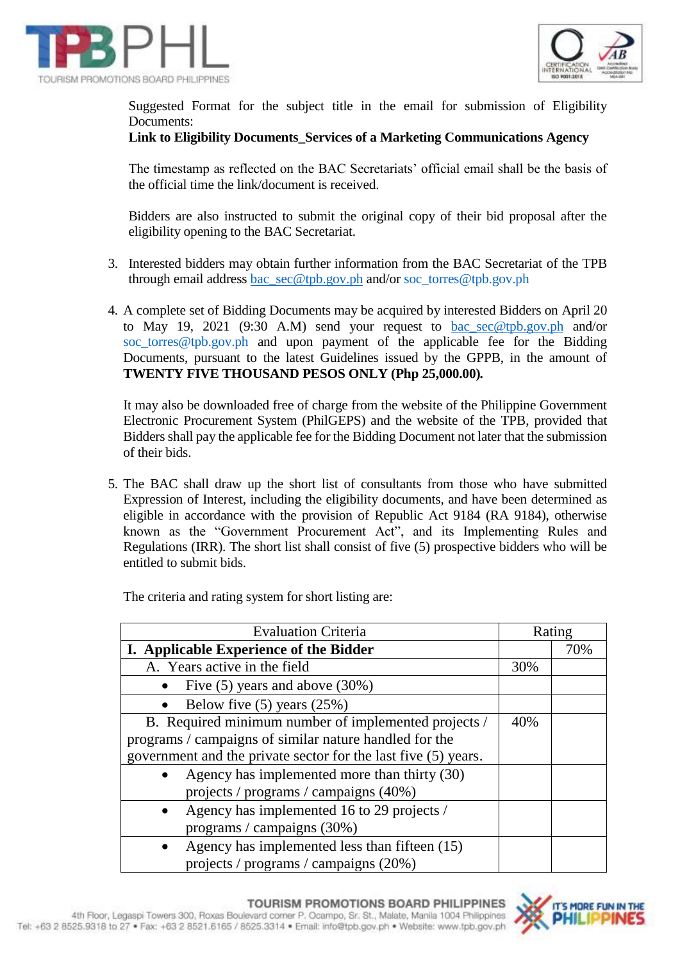



Suggested Format for the subject title in the email for submission of Eligibility Documents:

## **Link to Eligibility Documents\_Services of a Marketing Communications Agency**

The timestamp as reflected on the BAC Secretariats' official email shall be the basis of the official time the link/document is received.

Bidders are also instructed to submit the original copy of their bid proposal after the eligibility opening to the BAC Secretariat.

- 3. Interested bidders may obtain further information from the BAC Secretariat of the TPB through email address [bac\\_sec@tpb.gov.ph](mailto:bac_sec@tpb.gov.ph) and/or [soc\\_torres@tpb.gov.ph](mailto:soc_torres@tpb.gov.ph)
- 4. A complete set of Bidding Documents may be acquired by interested Bidders on April 20 to May 19, 2021 (9:30 A.M) send your request to [bac\\_sec@tpb.gov.ph](mailto:bac_sec@tpb.gov.ph) and/or [soc\\_torres@tpb.gov.ph](mailto:soc_torres@tpb.gov.ph) and upon payment of the applicable fee for the Bidding Documents, pursuant to the latest Guidelines issued by the GPPB, in the amount of **TWENTY FIVE THOUSAND PESOS ONLY (Php 25,000.00)***.*

It may also be downloaded free of charge from the website of the Philippine Government Electronic Procurement System (PhilGEPS) and the website of the TPB, provided that Bidders shall pay the applicable fee for the Bidding Document not later that the submission of their bids.

5. The BAC shall draw up the short list of consultants from those who have submitted Expression of Interest, including the eligibility documents, and have been determined as eligible in accordance with the provision of Republic Act 9184 (RA 9184), otherwise known as the "Government Procurement Act", and its Implementing Rules and Regulations (IRR). The short list shall consist of five (5) prospective bidders who will be entitled to submit bids.

Evaluation Criteria Rating **I. Applicable Experience of the Bidder** 1 20% A. Years active in the field 30% • Five  $(5)$  years and above  $(30%)$  Below five (5) years (25%) B. Required minimum number of implemented projects / programs / campaigns of similar nature handled for the government and the private sector for the last five (5) years. 40% Agency has implemented more than thirty (30) projects / programs / campaigns (40%) • Agency has implemented 16 to 29 projects / programs / campaigns (30%) Agency has implemented less than fifteen (15) projects / programs / campaigns (20%)

The criteria and rating system for short listing are:

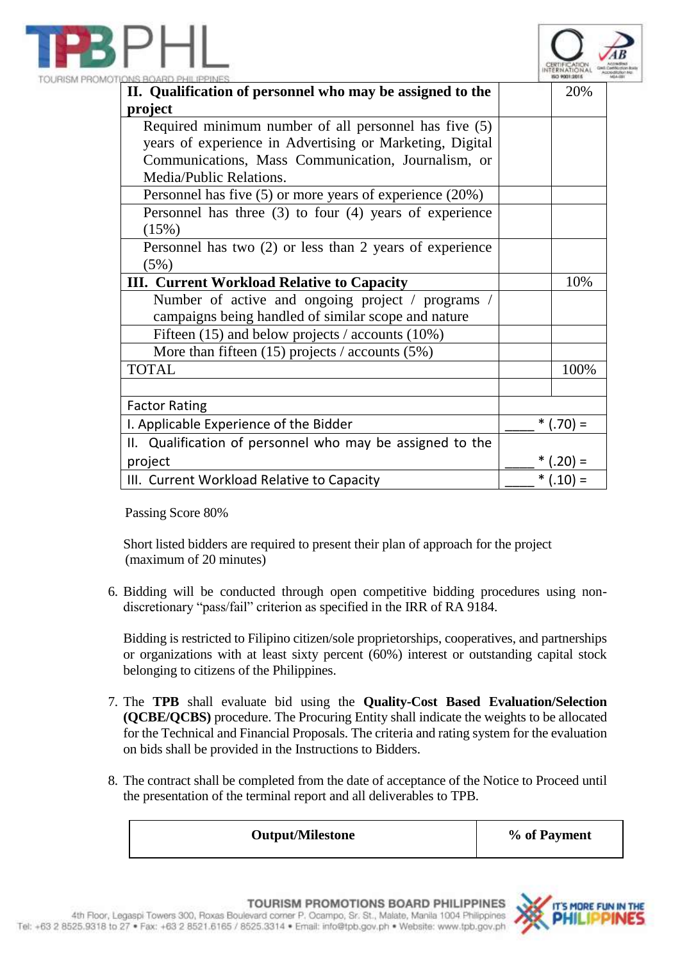



| INS BOARD PHILIPPINES                                         |            |            |
|---------------------------------------------------------------|------------|------------|
| II. Qualification of personnel who may be assigned to the     |            | 20%        |
| project                                                       |            |            |
| Required minimum number of all personnel has five (5)         |            |            |
| years of experience in Advertising or Marketing, Digital      |            |            |
| Communications, Mass Communication, Journalism, or            |            |            |
| Media/Public Relations.                                       |            |            |
| Personnel has five $(5)$ or more years of experience $(20\%)$ |            |            |
| Personnel has three $(3)$ to four $(4)$ years of experience   |            |            |
| (15%)                                                         |            |            |
| Personnel has two $(2)$ or less than 2 years of experience    |            |            |
| (5%)                                                          |            |            |
| <b>III.</b> Current Workload Relative to Capacity             |            | 10%        |
| Number of active and ongoing project / programs /             |            |            |
| campaigns being handled of similar scope and nature           |            |            |
| Fifteen $(15)$ and below projects / accounts $(10\%)$         |            |            |
| More than fifteen $(15)$ projects / accounts $(5%)$           |            |            |
| <b>TOTAL</b>                                                  |            | 100%       |
|                                                               |            |            |
| <b>Factor Rating</b>                                          |            |            |
| I. Applicable Experience of the Bidder                        | $*(.70) =$ |            |
| II. Qualification of personnel who may be assigned to the     |            |            |
| project                                                       |            | $*(.20) =$ |
| III. Current Workload Relative to Capacity                    | $*(.10) =$ |            |
|                                                               |            |            |

Passing Score 80%

Short listed bidders are required to present their plan of approach for the project (maximum of 20 minutes)

6. Bidding will be conducted through open competitive bidding procedures using nondiscretionary "pass/fail" criterion as specified in the IRR of RA 9184.

Bidding is restricted to Filipino citizen/sole proprietorships, cooperatives, and partnerships or organizations with at least sixty percent (60%) interest or outstanding capital stock belonging to citizens of the Philippines.

- 7. The **TPB** shall evaluate bid using the **Quality-Cost Based Evaluation/Selection (QCBE/QCBS)** procedure. The Procuring Entity shall indicate the weights to be allocated for the Technical and Financial Proposals. The criteria and rating system for the evaluation on bids shall be provided in the Instructions to Bidders.
- 8. The contract shall be completed from the date of acceptance of the Notice to Proceed until the presentation of the terminal report and all deliverables to TPB.

**Output/Milestone % of Payment**

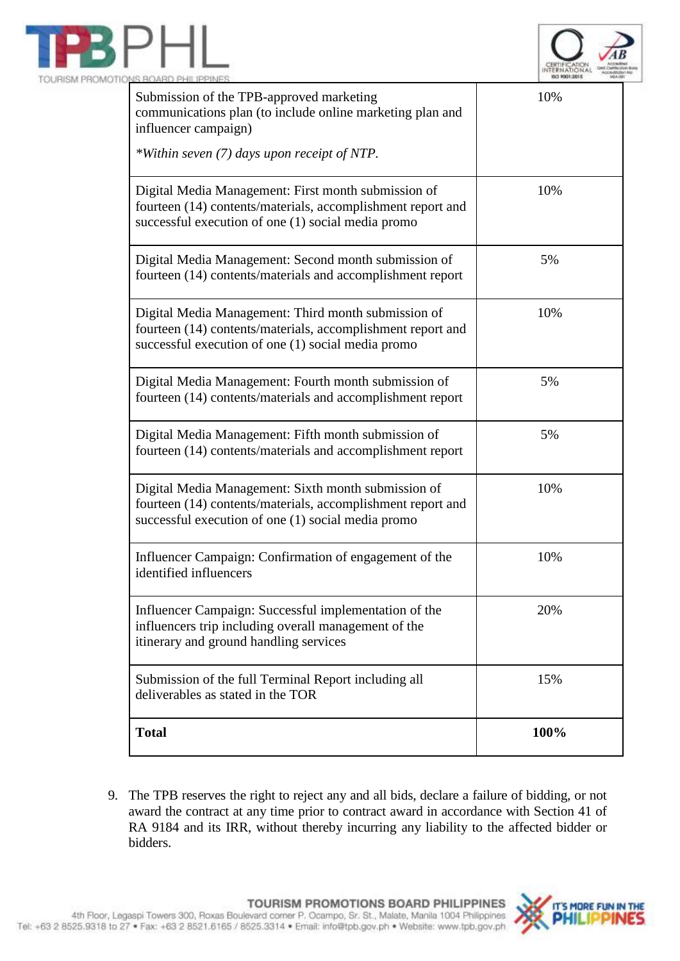



| Submission of the TPB-approved marketing<br>communications plan (to include online marketing plan and<br>influencer campaign)<br>*Within seven (7) days upon receipt of NTP. | 10%  |
|------------------------------------------------------------------------------------------------------------------------------------------------------------------------------|------|
| Digital Media Management: First month submission of<br>fourteen (14) contents/materials, accomplishment report and<br>successful execution of one (1) social media promo     | 10%  |
| Digital Media Management: Second month submission of<br>fourteen (14) contents/materials and accomplishment report                                                           | 5%   |
| Digital Media Management: Third month submission of<br>fourteen (14) contents/materials, accomplishment report and<br>successful execution of one (1) social media promo     | 10%  |
| Digital Media Management: Fourth month submission of<br>fourteen (14) contents/materials and accomplishment report                                                           | 5%   |
| Digital Media Management: Fifth month submission of<br>fourteen (14) contents/materials and accomplishment report                                                            | 5%   |
| Digital Media Management: Sixth month submission of<br>fourteen (14) contents/materials, accomplishment report and<br>successful execution of one (1) social media promo     | 10%  |
| Influencer Campaign: Confirmation of engagement of the<br>identified influencers                                                                                             | 10%  |
| Influencer Campaign: Successful implementation of the<br>influencers trip including overall management of the<br>itinerary and ground handling services                      | 20%  |
| Submission of the full Terminal Report including all<br>deliverables as stated in the TOR                                                                                    | 15%  |
| <b>Total</b>                                                                                                                                                                 | 100% |

9. The TPB reserves the right to reject any and all bids, declare a failure of bidding, or not award the contract at any time prior to contract award in accordance with Section 41 of RA 9184 and its IRR, without thereby incurring any liability to the affected bidder or bidders.